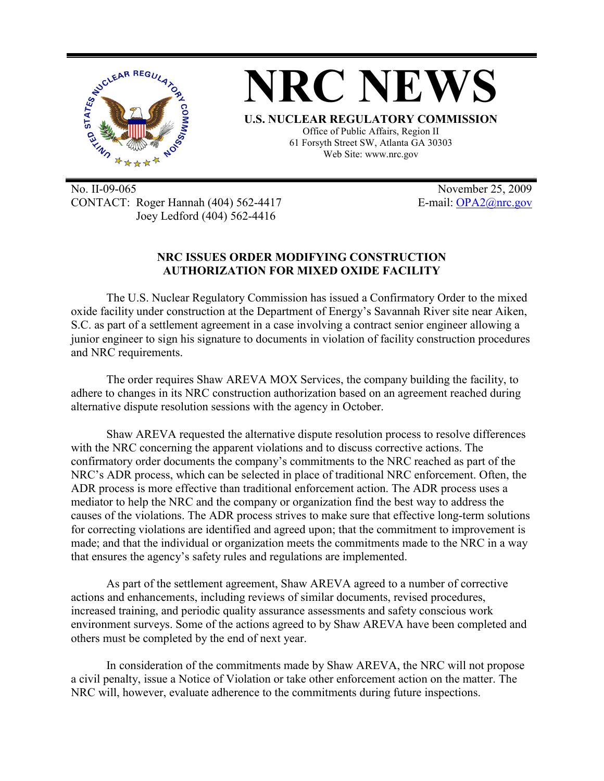

No. II-09-065 November 25, 2009 CONTACT: Roger Hannah (404) 562-4417 E-mail: OPA2@nrc.gov Joey Ledford (404) 562-4416

## **NRC ISSUES ORDER MODIFYING CONSTRUCTION AUTHORIZATION FOR MIXED OXIDE FACILITY**

The U.S. Nuclear Regulatory Commission has issued a Confirmatory Order to the mixed oxide facility under construction at the Department of Energy's Savannah River site near Aiken, S.C. as part of a settlement agreement in a case involving a contract senior engineer allowing a junior engineer to sign his signature to documents in violation of facility construction procedures and NRC requirements.

The order requires Shaw AREVA MOX Services, the company building the facility, to adhere to changes in its NRC construction authorization based on an agreement reached during alternative dispute resolution sessions with the agency in October.

Shaw AREVA requested the alternative dispute resolution process to resolve differences with the NRC concerning the apparent violations and to discuss corrective actions. The confirmatory order documents the company's commitments to the NRC reached as part of the NRC's ADR process, which can be selected in place of traditional NRC enforcement. Often, the ADR process is more effective than traditional enforcement action. The ADR process uses a mediator to help the NRC and the company or organization find the best way to address the causes of the violations. The ADR process strives to make sure that effective long-term solutions for correcting violations are identified and agreed upon; that the commitment to improvement is made; and that the individual or organization meets the commitments made to the NRC in a way that ensures the agency's safety rules and regulations are implemented.

As part of the settlement agreement, Shaw AREVA agreed to a number of corrective actions and enhancements, including reviews of similar documents, revised procedures, increased training, and periodic quality assurance assessments and safety conscious work environment surveys. Some of the actions agreed to by Shaw AREVA have been completed and others must be completed by the end of next year.

In consideration of the commitments made by Shaw AREVA, the NRC will not propose a civil penalty, issue a Notice of Violation or take other enforcement action on the matter. The NRC will, however, evaluate adherence to the commitments during future inspections.